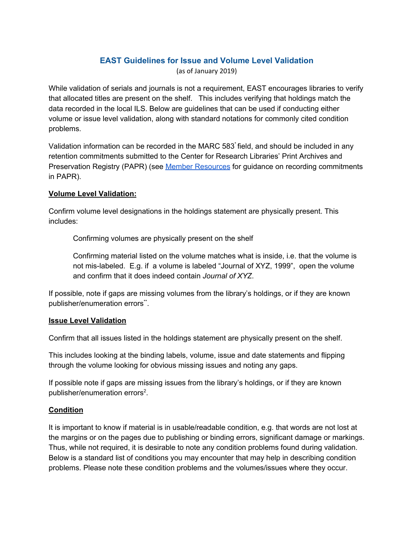# **EAST Guidelines for Issue and Volume Level Validation**

(as of January 2019)

While validation of serials and journals is not a requirement, EAST encourages libraries to verify that allocated titles are present on the shelf. This includes verifying that holdings match the data recorded in the local ILS. Below are guidelines that can be used if conducting either volume or issue level validation, along with standard notations for commonly cited condition problems.

Validation information can be recorded in the MARC 583 field, and should be included in any retention commitments submitted to the Center for Research Libraries' Print Archives and Preservation Registry (PAPR) (see Member [Resources](https://sites.google.com/a/blc.org/583-group/recording-retentions-in-papr) for guidance on recording commitments in PAPR).

### **Volume Level Validation:**

Confirm volume level designations in the holdings statement are physically present. This includes:

Confirming volumes are physically present on the shelf

Confirming material listed on the volume matches what is inside, i.e. that the volume is not mis-labeled. E.g. if a volume is labeled "Journal of XYZ, 1999", open the volume and confirm that it does indeed contain *Journal of XYZ*.

If possible, note if gaps are missing volumes from the library's holdings, or if they are known publisher/enumeration errors\*\*.

#### **Issue Level Validation**

Confirm that all issues listed in the holdings statement are physically present on the shelf.

This includes looking at the binding labels, volume, issue and date statements and flipping through the volume looking for obvious missing issues and noting any gaps.

If possible note if gaps are missing issues from the library's holdings, or if they are known publisher/enumeration errors<sup>2</sup>.

## **Condition**

It is important to know if material is in usable/readable condition, e.g. that words are not lost at the margins or on the pages due to publishing or binding errors, significant damage or markings. Thus, while not required, it is desirable to note any condition problems found during validation. Below is a standard list of conditions you may encounter that may help in describing condition problems. Please note these condition problems and the volumes/issues where they occur.